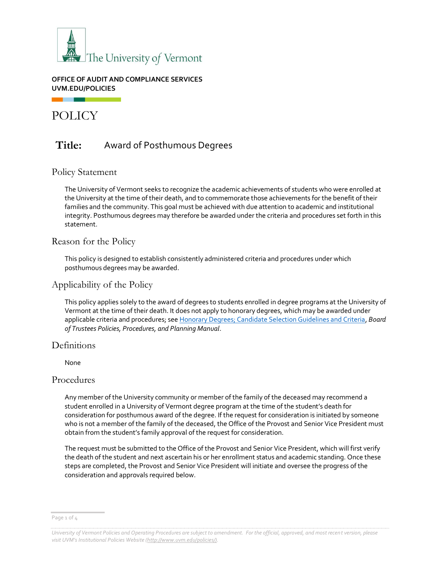

#### **OFFICE OF AUDIT AND COMPLIANCE SERVICES UVM.EDU/POLICIES**

# POLICY

# **Title:** Award of Posthumous Degrees

# Policy Statement

The University of Vermont seeks to recognize the academic achievements of students who were enrolled at the University at the time of their death, and to commemorate those achievements for the benefit of their families and the community. This goal must be achieved with due attention to academic and institutional integrity. Posthumous degrees may therefore be awarded under the criteria and procedures set forth in this statement.

# Reason for the Policy

This policy is designed to establish consistently administered criteria and procedures under which posthumous degrees may be awarded.

# Applicability of the Policy

This policy applies solely to the award of degrees to students enrolled in degree programs at the University of Vermont at the time of their death. It does not apply to honorary degrees, which may be awarded under applicable criteria and procedures; se[e Honorary Degrees; Candidate Selection Guidelines and Criteria,](https://www.uvm.edu/trustees/board-policy-manual) *Board of Trustees Policies, Procedures, and Planning Manual*.

# **Definitions**

None

# Procedures

Any member of the University community or member of the family of the deceased may recommend a student enrolled in a University of Vermont degree program at the time of the student's death for consideration for posthumous award of the degree. If the request for consideration is initiated by someone who is not a member of the family of the deceased, the Office of the Provost and Senior Vice President must obtain from the student's family approval of the request for consideration.

The request must be submitted to the Office of the Provost and Senior Vice President, which will first verify the death of the student and next ascertain his or her enrollment status and academic standing. Once these steps are completed, the Provost and Senior Vice President will initiate and oversee the progress of the consideration and approvals required below.

Page 1 of 4

*University of Vermont Policies and Operating Procedures are subject to amendment. For the official, approved, and most recent version, please visit UVM's Institutional Policies Website [\(http://www.uvm.edu/policies/\).](http://www.uvm.edu/policies/)*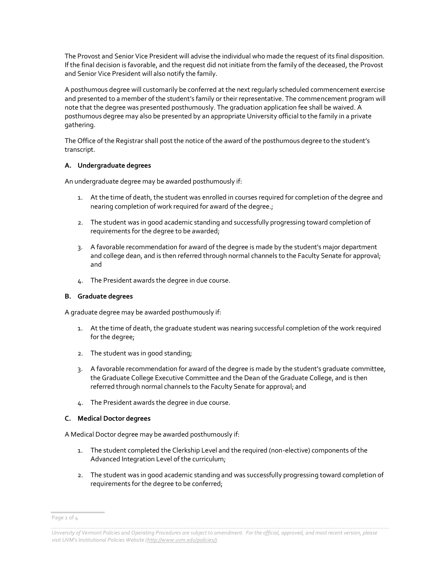The Provost and Senior Vice President will advise the individual who made the request of its final disposition. If the final decision is favorable, and the request did not initiate from the family of the deceased, the Provost and Senior Vice President will also notify the family.

A posthumous degree will customarily be conferred at the next regularly scheduled commencement exercise and presented to a member of the student's family or their representative. The commencement program will note that the degree was presented posthumously. The graduation application fee shall be waived. A posthumous degree may also be presented by an appropriate University official to the family in a private gathering.

The Office of the Registrar shall post the notice of the award of the posthumous degree to the student's transcript.

#### **A. Undergraduate degrees**

An undergraduate degree may be awarded posthumously if:

- 1. At the time of death, the student was enrolled in courses required for completion of the degree and nearing completion of work required for award of the degree.;
- 2. The student was in good academic standing and successfully progressing toward completion of requirements for the degree to be awarded;
- 3. A favorable recommendation for award of the degree is made by the student's major department and college dean, and is then referred through normal channels to the Faculty Senate for approval; and
- 4. The President awards the degree in due course.

#### **B. Graduate degrees**

A graduate degree may be awarded posthumously if:

- 1. At the time of death, the graduate student was nearing successful completion of the work required for the degree;
- 2. The student was in good standing;
- 3. A favorable recommendation for award of the degree is made by the student's graduate committee, the Graduate College Executive Committee and the Dean of the Graduate College, and is then referred through normal channels to the Faculty Senate for approval; and
- 4. The President awards the degree in due course.

#### **C. Medical Doctor degrees**

A Medical Doctor degree may be awarded posthumously if:

- 1. The student completed the Clerkship Level and the required (non-elective) components of the Advanced Integration Level of the curriculum;
- 2. The student was in good academic standing and was successfully progressing toward completion of requirements for the degree to be conferred;

Page 2 of 4

*University of Vermont Policies and Operating Procedures are subject to amendment. For the official, approved, and most recent version, please visit UVM's Institutional Policies Website ([http://www.uvm.edu/policies/\).](http://www.uvm.edu/policies/)*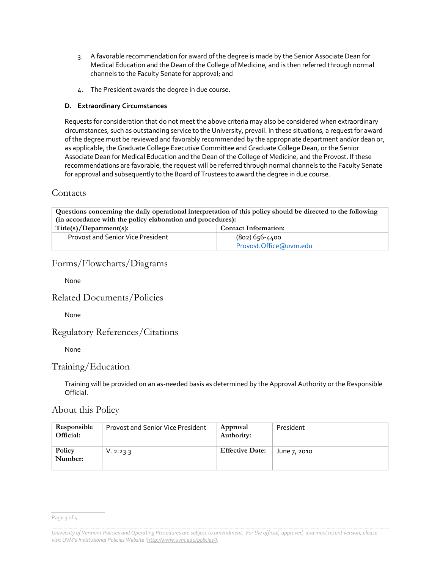- 3. A favorable recommendation for award of the degree is made by the Senior Associate Dean for Medical Education and the Dean of the College of Medicine, and is then referred through normal channels to the Faculty Senate for approval; and
- 4. The President awards the degree in due course.

#### **D. Extraordinary Circumstances**

Requests for consideration that do not meet the above criteria may also be considered when extraordinary circumstances, such as outstanding service to the University, prevail. In these situations, a request for award of the degree must be reviewed and favorably recommended by the appropriate department and/or dean or, as applicable, the Graduate College Executive Committee and Graduate College Dean, or the Senior Associate Dean for Medical Education and the Dean of the College of Medicine, and the Provost. If these recommendations are favorable, the request will be referred through normal channels to the Faculty Senate for approval and subsequently to the Board of Trustees to award the degree in due course.

# Contacts

| Questions concerning the daily operational interpretation of this policy should be directed to the following |                             |  |  |
|--------------------------------------------------------------------------------------------------------------|-----------------------------|--|--|
| (in accordance with the policy elaboration and procedures):                                                  |                             |  |  |
| Title(s)/Department(s):                                                                                      | <b>Contact Information:</b> |  |  |
| <b>Provost and Senior Vice President</b>                                                                     | (802) 656-4400              |  |  |
|                                                                                                              | Provost.Office@uvm.edu      |  |  |

# Forms/Flowcharts/Diagrams

None

# Related Documents/Policies

None

# Regulatory References/Citations

None

# Training/Education

Training will be provided on an as-needed basis as determined by the Approval Authority or the Responsible Official.

# About this Policy

| Responsible<br>Official: | <b>Provost and Senior Vice President</b> | Approval<br>Authority: | President    |
|--------------------------|------------------------------------------|------------------------|--------------|
| Policy<br>Number:        | V. 2.23.3                                | <b>Effective Date:</b> | June 7, 2010 |

Page 3 of 4

*University of Vermont Policies and Operating Procedures are subject to amendment. For the official, approved, and most recent version, please visit UVM's Institutional Policies Website ([http://www.uvm.edu/policies/\).](http://www.uvm.edu/policies/)*